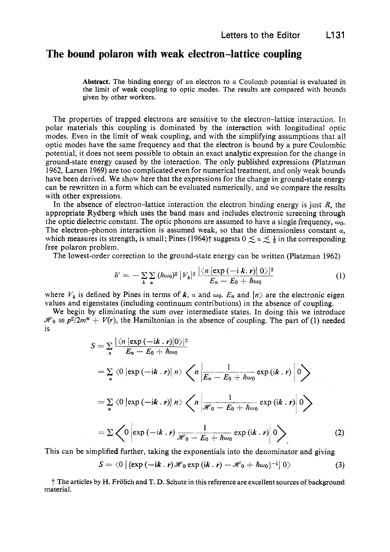## **The bound polaron with weak electron-lattice coupling**

**Abstract.** The binding energy of an electron to a Coulomb potential **is** evaluated in the limit of weak coupling to optic modes. The results are compared with bounds given by other workers.

The properties of trapped electrons are sensitive to the electron-lattice interaction. In polar materials this coupling is dominated by the interaction with longitudinal optic modes. Even in the limit of weak coupling, and with the simplifying assumptions that all optic modes have the same frequency and that the electron is bound by a pure Coulombic potential, it does not seem possible to obtain an exact analytic expression for the change in ground-state energy caused by the interaction. The only published expressions (Platzman 1962, Larsen 1969) are too complicated even for numerical treatment, and only weak bounds have been derived. We show here that the expressions for the change in ground-state energy can be rewritten in a form which can be evaluated numerically, and we compare the results with other expressions.

In the absence of electron-lattice interaction the electron binding energy is just *R,* the appropriate Rydberg which uses the band mass and includes electronic screening through the optic dielectric constant. The optic phonons are assumed to have a single frequency,  $\omega_0$ . The electron-phonon interaction is assumed weak, so that the dimensionless constant  $\alpha$ , which measures its strength, is small; Pines (1964)<sup>†</sup> suggests  $0 \leq a \leq \frac{1}{2}$  in the corresponding free polaron problem.

The lowest-order correction to the ground-state energy can be written (Platzman 1962)

$$
\delta' = -\sum_{k} \sum_{n} (\hbar \omega_0)^2 |V_k|^2 \frac{|\langle n| \exp{(-i \, k. \, r)}|0\rangle|^2}{E_n - E_0 + \hbar \omega_0} \tag{1}
$$

where  $V_k$  is defined by Pines in terms of k,  $\alpha$  and  $\omega_0$ .  $E_n$  and  $|n\rangle$  are the electronic eigen values and eigenstates (including continuum contributions) in the absence of coupling.

We begin by eliminating the **sum** over intermediate states. In doing this we introduce  $\mathcal{H}_0 \equiv p^2/2m^* + V(r)$ , the Hamiltonian in the absence of coupling. The part of (1) needed is

$$
S = \sum_{n} \frac{|\langle n | \exp(-ik \cdot r) | 0 \rangle|^2}{E_n - E_0 + \hbar \omega_0}
$$
  
=  $\sum_{n} \langle 0 | \exp(-ik \cdot r) | n \rangle \langle n | \frac{1}{E_n - E_0 + \hbar \omega_0} \exp(ik \cdot r) | 0 \rangle$   
=  $\sum_{n} \langle 0 | \exp(-ik \cdot r) | n \rangle \langle n | \frac{1}{\mathcal{H}_0 - E_0 + \hbar \omega_0} \exp(ik \cdot r) | 0 \rangle$   
=  $\sum_{n} \langle 0 | \exp(-ik \cdot r) \frac{1}{\mathcal{H}_0 - E_0 + \hbar \omega_0} \exp(ik \cdot r) | 0 \rangle$  (2)

This can be simplified further, taking the exponentials into the denominator and giving  

$$
S = \langle 0 | {\text{exp}(-\mathrm{i}k \cdot r)} \mathcal{H}_0 \exp{(\mathrm{i}k \cdot r)} - \mathcal{H}_0 + \hbar \omega_0 \rangle^{-1} | 0 \rangle
$$
(3)

f' The articles by H. Frolich and T. **D.** Schutz in this reference are excellent sources of background material.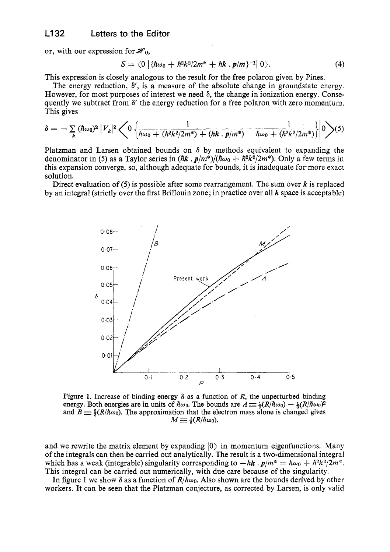## **L132 Letters** to the **Editor**

or, with our expression for  $\mathcal{H}_0$ ,

$$
S = \langle 0 | \{ \hbar \omega_0 + \hbar^2 k^2 / 2m^* + \hbar k \cdot p/m \}^{-1} | 0 \rangle. \tag{4}
$$

This expression is closely analogous to the result for the free polaron given by Pines.

The energy reduction, S', **is** a measure of the absolute change in groundstate energy. However, for most purposes of interest we need  $\delta$ , the change in ionization energy. Consequently we subtract from *S'* the energy reduction for a free polaron with zero momentum. This gives

$$
\delta = -\sum_{k} (\hbar \omega_{0})^{2} |V_{k}|^{2} \left\langle 0 \left| \left( \frac{1}{\hbar \omega_{0} + (\hbar^{2} k^{2}/2m^{*}) + (\hbar k \cdot p/m^{*})} - \frac{1}{\hbar \omega_{0} + (\hbar^{2} k^{2}/2m^{*})} \right| 0 \right\rangle (5) \right\}
$$

Platzman and Larsen obtained bounds on  $\delta$  by methods equivalent to expanding the denominator in (5) as a Taylor series in  $(hk \cdot p/m^*)/(h\omega_0 + h^2k^2/2m^*)$ . Only a few terms in this expansion converge, so, although adequate for bounds, it is inadequate formore exact solution.

Direct evaluation of *(5)* is possible after some rearrangement. The sum over *k* is replaced by an integral (strictly over the first Brillouin zone; in practice over all *k* space is acceptable)



Figure 1. Increase of binding energy  $\delta$  as a function of *R*, the unperturbed binding energy. Both energies are in units of  $\hbar\omega_0$ . The bounds are  $A \equiv \frac{1}{k}(R/\hbar\omega_0) - \frac{1}{k}(R/\hbar\omega_0)^2$ and  $B \equiv \frac{2}{3}(R/\hbar \omega_0)$ . The approximation that the electron mass alone is changed gives  $M \equiv \frac{1}{6}(R/\hbar\omega_0)$ .

and we rewrite the matrix element by expanding  $|0\rangle$  in momentum eigenfunctions. Many of the integrals can then be carried out analytically. The result is a two-dimensional integral which has a weak (integrable) singularity corresponding to  $-\hbar k$ .  $p/m^* = \hbar \omega_0 + \hbar^2 k^2 / 2m^*$ . This integral can be carried out numerically, with due care because of the singularity.

In figure **1** we show *S* as a function of *R/Awo.* Also shown are the bounds derived by other workers. It can be seen that the Platzman conjecture, as corrected by Larsen, is only valid